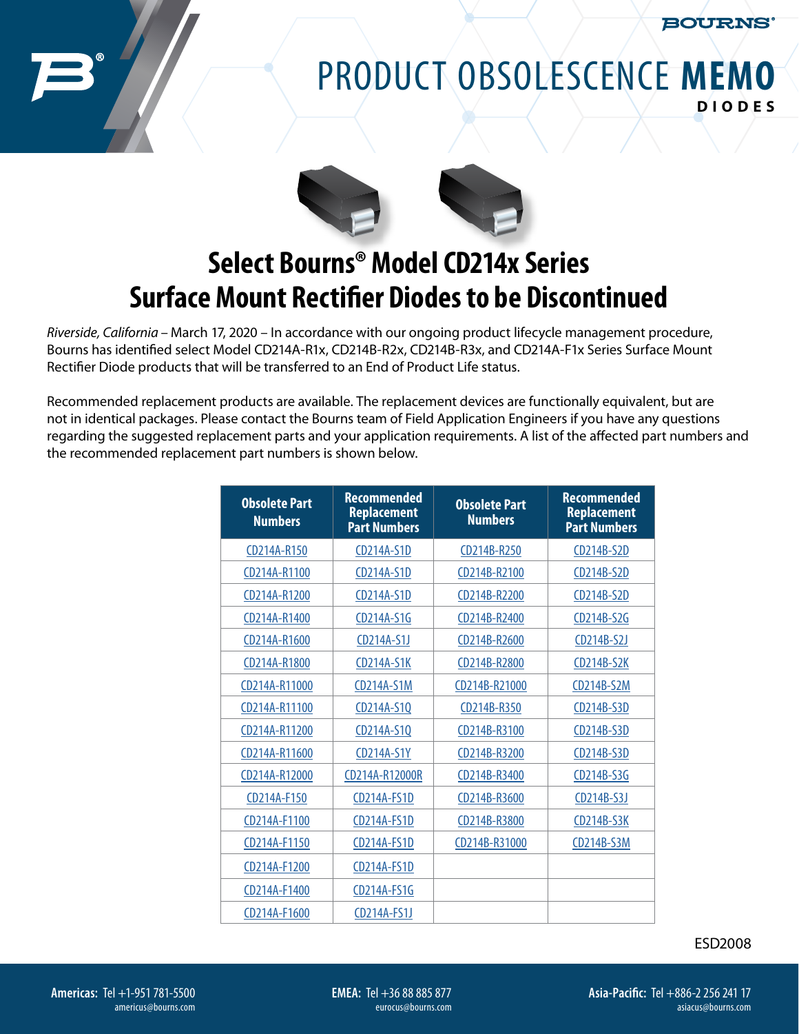**BOURNS** 

## PRODUCT OBSOLESCENCE **MEMO DIODES**



## **Select Bourns® Model CD214x Series Surface Mount Rectifier Diodes to be Discontinued**

*Riverside, California* – March 17, 2020 – In accordance with our ongoing product lifecycle management procedure, Bourns has identified select Model CD214A-R1x, CD214B-R2x, CD214B-R3x, and CD214A-F1x Series Surface Mount Rectifier Diode products that will be transferred to an End of Product Life status.

Recommended replacement products are available. The replacement devices are functionally equivalent, but are not in identical packages. Please contact the Bourns team of Field Application Engineers if you have any questions regarding the suggested replacement parts and your application requirements. A list of the affected part numbers and the recommended replacement part numbers is shown below.

| <b>Obsolete Part</b><br><b>Numbers</b> | <b>Recommended</b><br><b>Replacement</b><br><b>Part Numbers</b> | <b>Obsolete Part</b><br><b>Numbers</b> | <b>Recommended</b><br><b>Replacement</b><br><b>Part Numbers</b> |
|----------------------------------------|-----------------------------------------------------------------|----------------------------------------|-----------------------------------------------------------------|
| CD214A-R150                            | CD214A-S1D                                                      | CD214B-R250                            | CD214B-S2D                                                      |
| CD214A-R1100                           | CD214A-S1D                                                      | CD214B-R2100                           | CD214B-S2D                                                      |
| CD214A-R1200                           | CD214A-S1D                                                      | CD214B-R2200                           | CD214B-S2D                                                      |
| CD214A-R1400                           | CD214A-S1G                                                      | CD214B-R2400                           | CD214B-S2G                                                      |
| CD214A-R1600                           | CD214A-S1J                                                      | CD214B-R2600                           | CD214B-S2J                                                      |
| CD214A-R1800                           | <b>CD214A-S1K</b>                                               | CD214B-R2800                           | <b>CD214B-S2K</b>                                               |
| CD214A-R11000                          | <b>CD214A-S1M</b>                                               | CD214B-R21000                          | CD214B-S2M                                                      |
| CD214A-R11100                          | CD214A-S1Q                                                      | CD214B-R350                            | CD214B-S3D                                                      |
| CD214A-R11200                          | CD214A-S1Q                                                      | CD214B-R3100                           | CD214B-S3D                                                      |
| CD214A-R11600                          | CD214A-S1Y                                                      | CD214B-R3200                           | CD214B-S3D                                                      |
| CD214A-R12000                          | CD214A-R12000R                                                  | CD214B-R3400                           | CD214B-S3G                                                      |
| CD214A-F150                            | <b>CD214A-FS1D</b>                                              | CD214B-R3600                           | CD214B-S3J                                                      |
| CD214A-F1100                           | CD214A-FS1D                                                     | CD214B-R3800                           | <b>CD214B-S3K</b>                                               |
| CD214A-F1150                           | CD214A-FS1D                                                     | CD214B-R31000                          | <b>CD214B-S3M</b>                                               |
| CD214A-F1200                           | CD214A-FS1D                                                     |                                        |                                                                 |
| CD214A-F1400                           | CD214A-FS1G                                                     |                                        |                                                                 |
| CD214A-F1600                           | CD214A-FS1J                                                     |                                        |                                                                 |

ESD2008